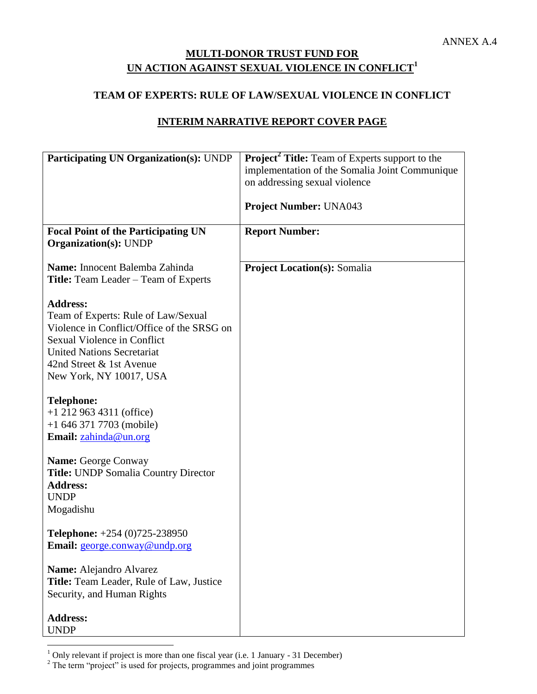# **MULTI-DONOR TRUST FUND FOR UN ACTION AGAINST SEXUAL VIOLENCE IN CONFLICT 1**

### **TEAM OF EXPERTS: RULE OF LAW/SEXUAL VIOLENCE IN CONFLICT**

## **INTERIM NARRATIVE REPORT COVER PAGE**

| <b>Participating UN Organization(s): UNDP</b>                                                                                                                                                                                   | <b>Project<sup>2</sup></b> Title: Team of Experts support to the                |
|---------------------------------------------------------------------------------------------------------------------------------------------------------------------------------------------------------------------------------|---------------------------------------------------------------------------------|
|                                                                                                                                                                                                                                 | implementation of the Somalia Joint Communique<br>on addressing sexual violence |
|                                                                                                                                                                                                                                 |                                                                                 |
|                                                                                                                                                                                                                                 | <b>Project Number: UNA043</b>                                                   |
| <b>Focal Point of the Participating UN</b><br><b>Organization(s): UNDP</b>                                                                                                                                                      | <b>Report Number:</b>                                                           |
| Name: Innocent Balemba Zahinda                                                                                                                                                                                                  | <b>Project Location(s): Somalia</b>                                             |
| <b>Title:</b> Team Leader – Team of Experts                                                                                                                                                                                     |                                                                                 |
| <b>Address:</b><br>Team of Experts: Rule of Law/Sexual<br>Violence in Conflict/Office of the SRSG on<br>Sexual Violence in Conflict<br><b>United Nations Secretariat</b><br>42nd Street & 1st Avenue<br>New York, NY 10017, USA |                                                                                 |
| <b>Telephone:</b><br>$+1$ 212 963 4311 (office)<br>$+16463717703$ (mobile)<br>Email: zahinda@un.org                                                                                                                             |                                                                                 |
| <b>Name: George Conway</b><br>Title: UNDP Somalia Country Director<br><b>Address:</b><br><b>UNDP</b><br>Mogadishu                                                                                                               |                                                                                 |
| <b>Telephone:</b> $+254(0)725-238950$<br>Email: george.conway@undp.org                                                                                                                                                          |                                                                                 |
| Name: Alejandro Alvarez<br>Title: Team Leader, Rule of Law, Justice<br>Security, and Human Rights                                                                                                                               |                                                                                 |
| <b>Address:</b><br><b>UNDP</b>                                                                                                                                                                                                  |                                                                                 |

 $\overline{a}$  $1$  Only relevant if project is more than one fiscal year (i.e. 1 January - 31 December)

<sup>&</sup>lt;sup>2</sup> The term "project" is used for projects, programmes and joint programmes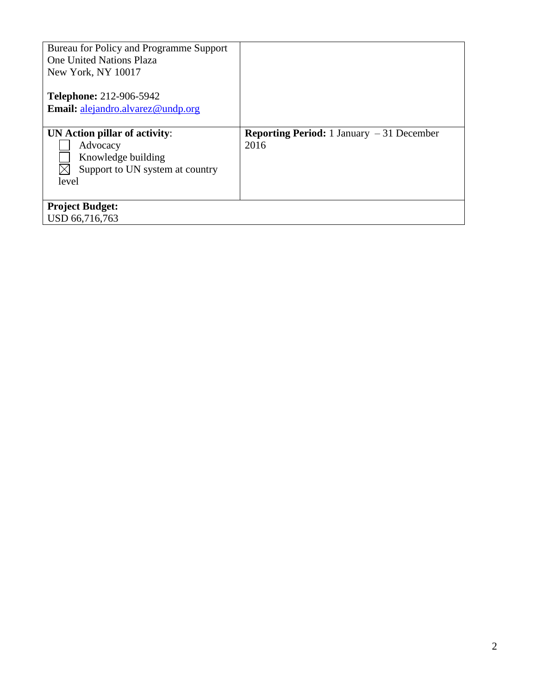| Bureau for Policy and Programme Support<br><b>One United Nations Plaza</b><br>New York, NY 10017            |                                                           |
|-------------------------------------------------------------------------------------------------------------|-----------------------------------------------------------|
| <b>Telephone: 212-906-5942</b><br>Email: alejandro.alvarez@undp.org                                         |                                                           |
| UN Action pillar of activity:<br>Advocacy<br>Knowledge building<br>Support to UN system at country<br>level | <b>Reporting Period:</b> 1 January $-31$ December<br>2016 |
| <b>Project Budget:</b><br>USD 66,716,763                                                                    |                                                           |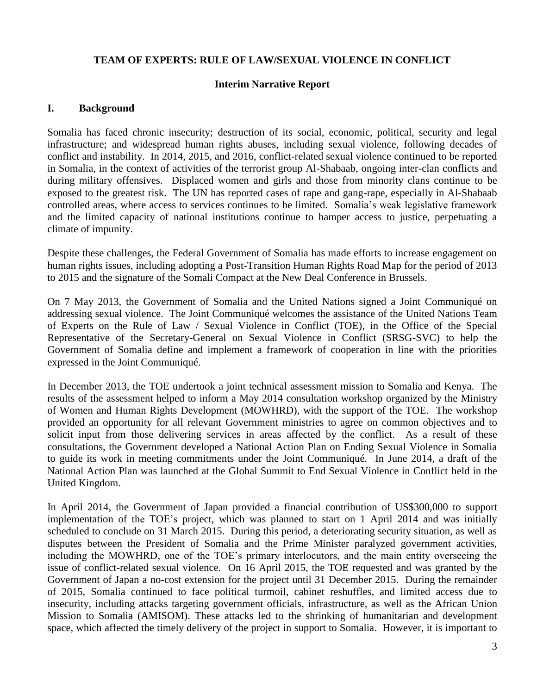### **TEAM OF EXPERTS: RULE OF LAW/SEXUAL VIOLENCE IN CONFLICT**

#### **Interim Narrative Report**

#### **I. Background**

Somalia has faced chronic insecurity; destruction of its social, economic, political, security and legal infrastructure; and widespread human rights abuses, including sexual violence, following decades of conflict and instability. In 2014, 2015, and 2016, conflict-related sexual violence continued to be reported in Somalia, in the context of activities of the terrorist group Al-Shabaab, ongoing inter-clan conflicts and during military offensives. Displaced women and girls and those from minority clans continue to be exposed to the greatest risk. The UN has reported cases of rape and gang-rape, especially in Al-Shabaab controlled areas, where access to services continues to be limited. Somalia's weak legislative framework and the limited capacity of national institutions continue to hamper access to justice, perpetuating a climate of impunity.

Despite these challenges, the Federal Government of Somalia has made efforts to increase engagement on human rights issues, including adopting a Post-Transition Human Rights Road Map for the period of 2013 to 2015 and the signature of the Somali Compact at the New Deal Conference in Brussels.

On 7 May 2013, the Government of Somalia and the United Nations signed a Joint Communiqué on addressing sexual violence. The Joint Communiqué welcomes the assistance of the United Nations Team of Experts on the Rule of Law / Sexual Violence in Conflict (TOE), in the Office of the Special Representative of the Secretary-General on Sexual Violence in Conflict (SRSG-SVC) to help the Government of Somalia define and implement a framework of cooperation in line with the priorities expressed in the Joint Communiqué.

In December 2013, the TOE undertook a joint technical assessment mission to Somalia and Kenya. The results of the assessment helped to inform a May 2014 consultation workshop organized by the Ministry of Women and Human Rights Development (MOWHRD), with the support of the TOE. The workshop provided an opportunity for all relevant Government ministries to agree on common objectives and to solicit input from those delivering services in areas affected by the conflict. As a result of these consultations, the Government developed a National Action Plan on Ending Sexual Violence in Somalia to guide its work in meeting commitments under the Joint Communiqué. In June 2014, a draft of the National Action Plan was launched at the Global Summit to End Sexual Violence in Conflict held in the United Kingdom.

In April 2014, the Government of Japan provided a financial contribution of US\$300,000 to support implementation of the TOE's project, which was planned to start on 1 April 2014 and was initially scheduled to conclude on 31 March 2015. During this period, a deteriorating security situation, as well as disputes between the President of Somalia and the Prime Minister paralyzed government activities, including the MOWHRD, one of the TOE's primary interlocutors, and the main entity overseeing the issue of conflict-related sexual violence. On 16 April 2015, the TOE requested and was granted by the Government of Japan a no-cost extension for the project until 31 December 2015. During the remainder of 2015, Somalia continued to face political turmoil, cabinet reshuffles, and limited access due to insecurity, including attacks targeting government officials, infrastructure, as well as the African Union Mission to Somalia (AMISOM). These attacks led to the shrinking of humanitarian and development space, which affected the timely delivery of the project in support to Somalia. However, it is important to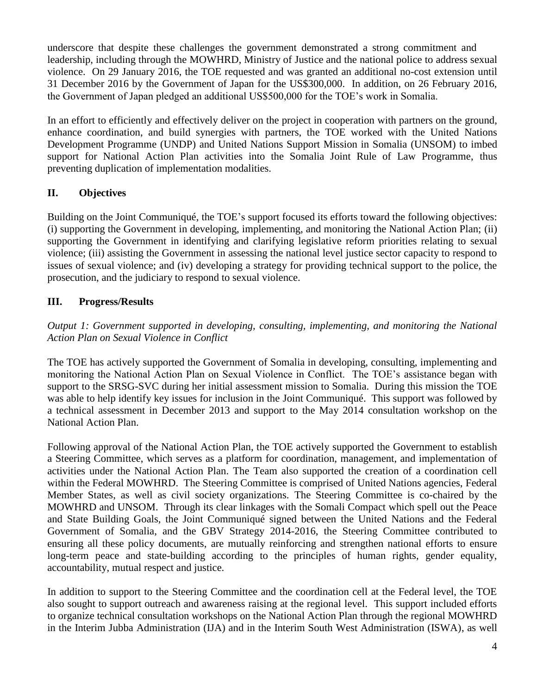underscore that despite these challenges the government demonstrated a strong commitment and leadership, including through the MOWHRD, Ministry of Justice and the national police to address sexual violence. On 29 January 2016, the TOE requested and was granted an additional no-cost extension until 31 December 2016 by the Government of Japan for the US\$300,000. In addition, on 26 February 2016, the Government of Japan pledged an additional US\$500,000 for the TOE's work in Somalia.

In an effort to efficiently and effectively deliver on the project in cooperation with partners on the ground, enhance coordination, and build synergies with partners, the TOE worked with the United Nations Development Programme (UNDP) and United Nations Support Mission in Somalia (UNSOM) to imbed support for National Action Plan activities into the Somalia Joint Rule of Law Programme, thus preventing duplication of implementation modalities.

# **II. Objectives**

Building on the Joint Communiqué, the TOE's support focused its efforts toward the following objectives: (i) supporting the Government in developing, implementing, and monitoring the National Action Plan; (ii) supporting the Government in identifying and clarifying legislative reform priorities relating to sexual violence; (iii) assisting the Government in assessing the national level justice sector capacity to respond to issues of sexual violence; and (iv) developing a strategy for providing technical support to the police, the prosecution, and the judiciary to respond to sexual violence.

# **III. Progress/Results**

*Output 1: Government supported in developing, consulting, implementing, and monitoring the National Action Plan on Sexual Violence in Conflict*

The TOE has actively supported the Government of Somalia in developing, consulting, implementing and monitoring the National Action Plan on Sexual Violence in Conflict. The TOE's assistance began with support to the SRSG-SVC during her initial assessment mission to Somalia. During this mission the TOE was able to help identify key issues for inclusion in the Joint Communiqué. This support was followed by a technical assessment in December 2013 and support to the May 2014 consultation workshop on the National Action Plan.

Following approval of the National Action Plan, the TOE actively supported the Government to establish a Steering Committee, which serves as a platform for coordination, management, and implementation of activities under the National Action Plan. The Team also supported the creation of a coordination cell within the Federal MOWHRD. The Steering Committee is comprised of United Nations agencies, Federal Member States, as well as civil society organizations. The Steering Committee is co-chaired by the MOWHRD and UNSOM. Through its clear linkages with the Somali Compact which spell out the Peace and State Building Goals, the Joint Communiqué signed between the United Nations and the Federal Government of Somalia, and the GBV Strategy 2014-2016, the Steering Committee contributed to ensuring all these policy documents, are mutually reinforcing and strengthen national efforts to ensure long-term peace and state-building according to the principles of human rights, gender equality, accountability, mutual respect and justice.

In addition to support to the Steering Committee and the coordination cell at the Federal level, the TOE also sought to support outreach and awareness raising at the regional level. This support included efforts to organize technical consultation workshops on the National Action Plan through the regional MOWHRD in the Interim Jubba Administration (IJA) and in the Interim South West Administration (ISWA), as well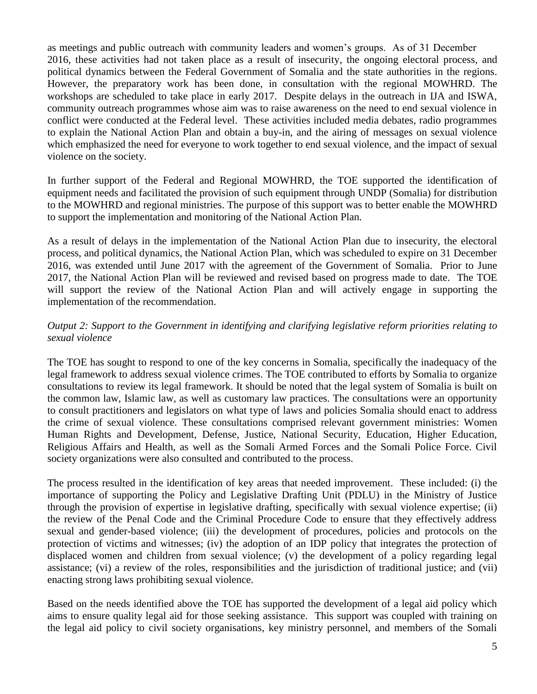as meetings and public outreach with community leaders and women's groups. As of 31 December 2016, these activities had not taken place as a result of insecurity, the ongoing electoral process, and political dynamics between the Federal Government of Somalia and the state authorities in the regions. However, the preparatory work has been done, in consultation with the regional MOWHRD. The workshops are scheduled to take place in early 2017. Despite delays in the outreach in IJA and ISWA, community outreach programmes whose aim was to raise awareness on the need to end sexual violence in conflict were conducted at the Federal level. These activities included media debates, radio programmes to explain the National Action Plan and obtain a buy-in, and the airing of messages on sexual violence which emphasized the need for everyone to work together to end sexual violence, and the impact of sexual violence on the society.

In further support of the Federal and Regional MOWHRD, the TOE supported the identification of equipment needs and facilitated the provision of such equipment through UNDP (Somalia) for distribution to the MOWHRD and regional ministries. The purpose of this support was to better enable the MOWHRD to support the implementation and monitoring of the National Action Plan.

As a result of delays in the implementation of the National Action Plan due to insecurity, the electoral process, and political dynamics, the National Action Plan, which was scheduled to expire on 31 December 2016, was extended until June 2017 with the agreement of the Government of Somalia. Prior to June 2017, the National Action Plan will be reviewed and revised based on progress made to date. The TOE will support the review of the National Action Plan and will actively engage in supporting the implementation of the recommendation.

## *Output 2: Support to the Government in identifying and clarifying legislative reform priorities relating to sexual violence*

The TOE has sought to respond to one of the key concerns in Somalia, specifically the inadequacy of the legal framework to address sexual violence crimes. The TOE contributed to efforts by Somalia to organize consultations to review its legal framework. It should be noted that the legal system of Somalia is built on the common law, Islamic law, as well as customary law practices. The consultations were an opportunity to consult practitioners and legislators on what type of laws and policies Somalia should enact to address the crime of sexual violence. These consultations comprised relevant government ministries: Women Human Rights and Development, Defense, Justice, National Security, Education, Higher Education, Religious Affairs and Health, as well as the Somali Armed Forces and the Somali Police Force. Civil society organizations were also consulted and contributed to the process.

The process resulted in the identification of key areas that needed improvement. These included: (i) the importance of supporting the Policy and Legislative Drafting Unit (PDLU) in the Ministry of Justice through the provision of expertise in legislative drafting, specifically with sexual violence expertise; (ii) the review of the Penal Code and the Criminal Procedure Code to ensure that they effectively address sexual and gender-based violence; (iii) the development of procedures, policies and protocols on the protection of victims and witnesses; (iv) the adoption of an IDP policy that integrates the protection of displaced women and children from sexual violence; (v) the development of a policy regarding legal assistance; (vi) a review of the roles, responsibilities and the jurisdiction of traditional justice; and (vii) enacting strong laws prohibiting sexual violence.

Based on the needs identified above the TOE has supported the development of a legal aid policy which aims to ensure quality legal aid for those seeking assistance. This support was coupled with training on the legal aid policy to civil society organisations, key ministry personnel, and members of the Somali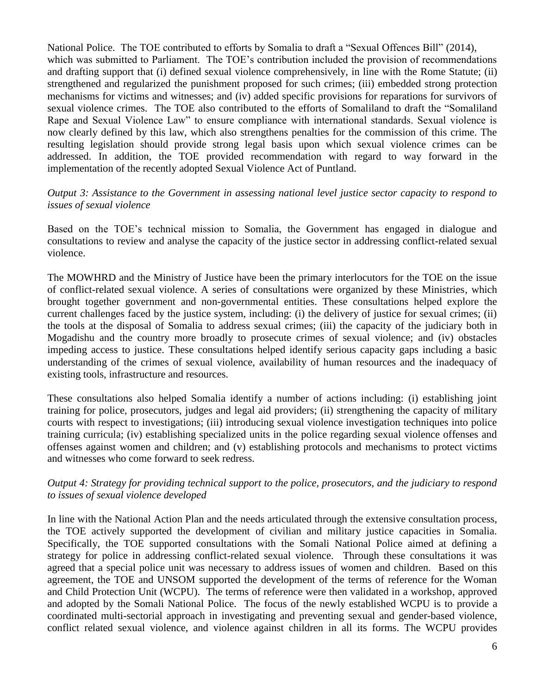National Police. The TOE contributed to efforts by Somalia to draft a "Sexual Offences Bill" (2014), which was submitted to Parliament. The TOE's contribution included the provision of recommendations and drafting support that (i) defined sexual violence comprehensively, in line with the Rome Statute; (ii) strengthened and regularized the punishment proposed for such crimes; (iii) embedded strong protection mechanisms for victims and witnesses; and (iv) added specific provisions for reparations for survivors of sexual violence crimes. The TOE also contributed to the efforts of Somaliland to draft the "Somaliland Rape and Sexual Violence Law" to ensure compliance with international standards. Sexual violence is now clearly defined by this law, which also strengthens penalties for the commission of this crime. The resulting legislation should provide strong legal basis upon which sexual violence crimes can be addressed. In addition, the TOE provided recommendation with regard to way forward in the implementation of the recently adopted Sexual Violence Act of Puntland.

### *Output 3: Assistance to the Government in assessing national level justice sector capacity to respond to issues of sexual violence*

Based on the TOE's technical mission to Somalia, the Government has engaged in dialogue and consultations to review and analyse the capacity of the justice sector in addressing conflict-related sexual violence.

The MOWHRD and the Ministry of Justice have been the primary interlocutors for the TOE on the issue of conflict-related sexual violence. A series of consultations were organized by these Ministries, which brought together government and non-governmental entities. These consultations helped explore the current challenges faced by the justice system, including: (i) the delivery of justice for sexual crimes; (ii) the tools at the disposal of Somalia to address sexual crimes; (iii) the capacity of the judiciary both in Mogadishu and the country more broadly to prosecute crimes of sexual violence; and (iv) obstacles impeding access to justice. These consultations helped identify serious capacity gaps including a basic understanding of the crimes of sexual violence, availability of human resources and the inadequacy of existing tools, infrastructure and resources.

These consultations also helped Somalia identify a number of actions including: (i) establishing joint training for police, prosecutors, judges and legal aid providers; (ii) strengthening the capacity of military courts with respect to investigations; (iii) introducing sexual violence investigation techniques into police training curricula; (iv) establishing specialized units in the police regarding sexual violence offenses and offenses against women and children; and (v) establishing protocols and mechanisms to protect victims and witnesses who come forward to seek redress.

### *Output 4: Strategy for providing technical support to the police, prosecutors, and the judiciary to respond to issues of sexual violence developed*

In line with the National Action Plan and the needs articulated through the extensive consultation process, the TOE actively supported the development of civilian and military justice capacities in Somalia. Specifically, the TOE supported consultations with the Somali National Police aimed at defining a strategy for police in addressing conflict-related sexual violence. Through these consultations it was agreed that a special police unit was necessary to address issues of women and children. Based on this agreement, the TOE and UNSOM supported the development of the terms of reference for the Woman and Child Protection Unit (WCPU). The terms of reference were then validated in a workshop, approved and adopted by the Somali National Police. The focus of the newly established WCPU is to provide a coordinated multi-sectorial approach in investigating and preventing sexual and gender-based violence, conflict related sexual violence, and violence against children in all its forms. The WCPU provides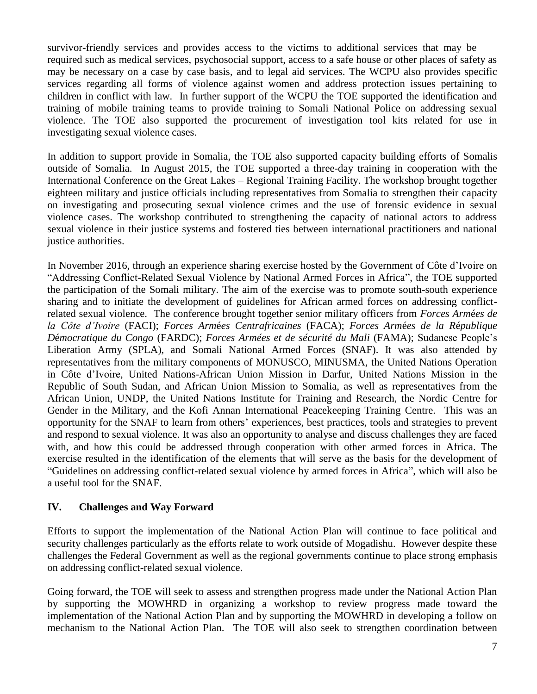survivor-friendly services and provides access to the victims to additional services that may be required such as medical services, psychosocial support, access to a safe house or other places of safety as may be necessary on a case by case basis, and to legal aid services. The WCPU also provides specific services regarding all forms of violence against women and address protection issues pertaining to children in conflict with law. In further support of the WCPU the TOE supported the identification and training of mobile training teams to provide training to Somali National Police on addressing sexual violence. The TOE also supported the procurement of investigation tool kits related for use in investigating sexual violence cases.

In addition to support provide in Somalia, the TOE also supported capacity building efforts of Somalis outside of Somalia. In August 2015, the TOE supported a three-day training in cooperation with the International Conference on the Great Lakes – Regional Training Facility. The workshop brought together eighteen military and justice officials including representatives from Somalia to strengthen their capacity on investigating and prosecuting sexual violence crimes and the use of forensic evidence in sexual violence cases. The workshop contributed to strengthening the capacity of national actors to address sexual violence in their justice systems and fostered ties between international practitioners and national justice authorities.

In November 2016, through an experience sharing exercise hosted by the Government of Côte d'Ivoire on "Addressing Conflict-Related Sexual Violence by National Armed Forces in Africa", the TOE supported the participation of the Somali military. The aim of the exercise was to promote south-south experience sharing and to initiate the development of guidelines for African armed forces on addressing conflictrelated sexual violence. The conference brought together senior military officers from *Forces Arm*é*es de la Côte d'Ivoire* (FACI); *Forces Arm*é*es Centrafricaines* (FACA); *Forces Arm*é*es de la R*é*publique D*é*mocratique du Congo* (FARDC); *Forces Armées et de sécurité du Mali* (FAMA); Sudanese People's Liberation Army (SPLA), and Somali National Armed Forces (SNAF). It was also attended by representatives from the military components of MONUSCO, MINUSMA, the United Nations Operation in Côte d'Ivoire, United Nations-African Union Mission in Darfur, United Nations Mission in the Republic of South Sudan, and African Union Mission to Somalia, as well as representatives from the African Union, UNDP, the United Nations Institute for Training and Research, the Nordic Centre for Gender in the Military, and the Kofi Annan International Peacekeeping Training Centre. This was an opportunity for the SNAF to learn from others' experiences, best practices, tools and strategies to prevent and respond to sexual violence. It was also an opportunity to analyse and discuss challenges they are faced with, and how this could be addressed through cooperation with other armed forces in Africa. The exercise resulted in the identification of the elements that will serve as the basis for the development of "Guidelines on addressing conflict-related sexual violence by armed forces in Africa", which will also be a useful tool for the SNAF.

## **IV. Challenges and Way Forward**

Efforts to support the implementation of the National Action Plan will continue to face political and security challenges particularly as the efforts relate to work outside of Mogadishu. However despite these challenges the Federal Government as well as the regional governments continue to place strong emphasis on addressing conflict-related sexual violence.

Going forward, the TOE will seek to assess and strengthen progress made under the National Action Plan by supporting the MOWHRD in organizing a workshop to review progress made toward the implementation of the National Action Plan and by supporting the MOWHRD in developing a follow on mechanism to the National Action Plan. The TOE will also seek to strengthen coordination between